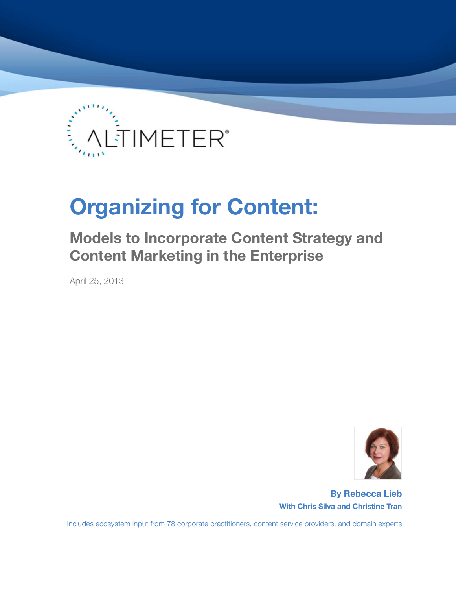

# **Organizing for Content:**

# **Models to Incorporate Content Strategy and Content Marketing in the Enterprise**

April 25, 2013



**By Rebecca Lieb With Chris Silva and Christine Tran**

Includes ecosystem input from 78 corporate practitioners, content service providers, and domain experts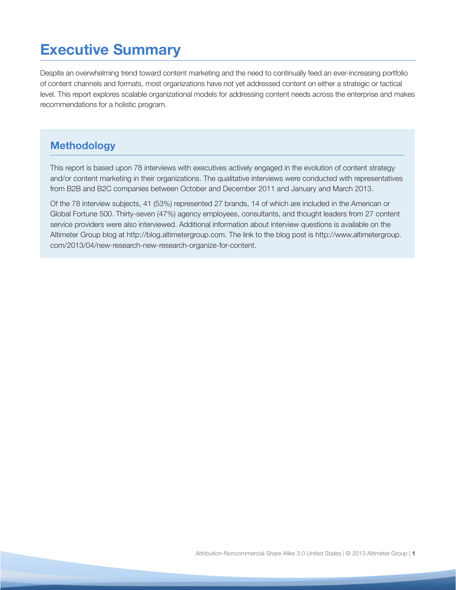# **Executive Summary**

Despite an overwhelming trend toward content marketing and the need to continually feed an ever-increasing portfolio of content channels and formats, most organizations have not yet addressed content on either a strategic or tactical level. This report explores scalable organizational models for addressing content needs across the enterprise and makes recommendations for a holistic program.

# **Methodology**

This report is based upon 78 interviews with executives actively engaged in the evolution of content strategy and/or content marketing in their organizations. The qualitative interviews were conducted with representatives from B2B and B2C companies between October and December 2011 and January and March 2013.

Of the 78 interview subjects, 41 (53%) represented 27 brands, 14 of which are included in the American or Global Fortune 500. Thirty-seven (47%) agency employees, consultants, and thought leaders from 27 content service providers were also interviewed. Additional information about interview questions is available on the Altimeter Group blog at http://blog.altimetergroup.com. The link to the blog post is http://www.altimetergroup. com/2013/04/new-research-new-research-organize-for-content.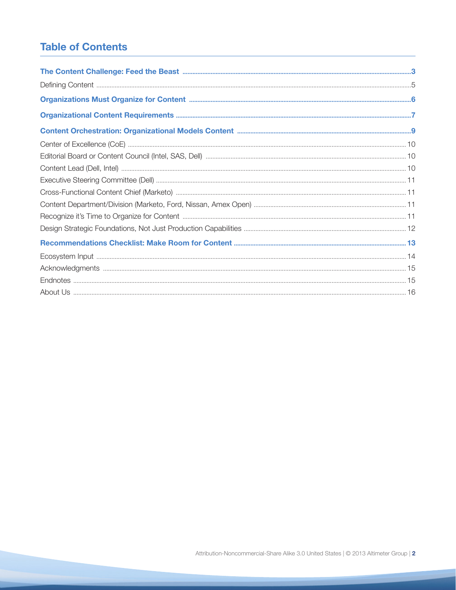# **Table of Contents**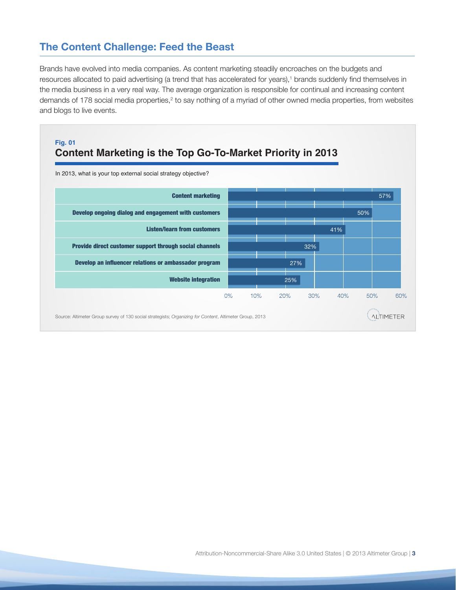# **The Content Challenge: Feed the Beast**

Brands have evolved into media companies. As content marketing steadily encroaches on the budgets and resources allocated to paid advertising (a trend that has accelerated for years),<sup>1</sup> brands suddenly find themselves in the media business in a very real way. The average organization is responsible for continual and increasing content demands of 178 social media properties,<sup>2</sup> to say nothing of a myriad of other owned media properties, from websites and blogs to live events.

### **Content Marketing is the Top Go-To-Market Priority in 2013 Fig. 01**



In 2013, what is your top external social strategy objective?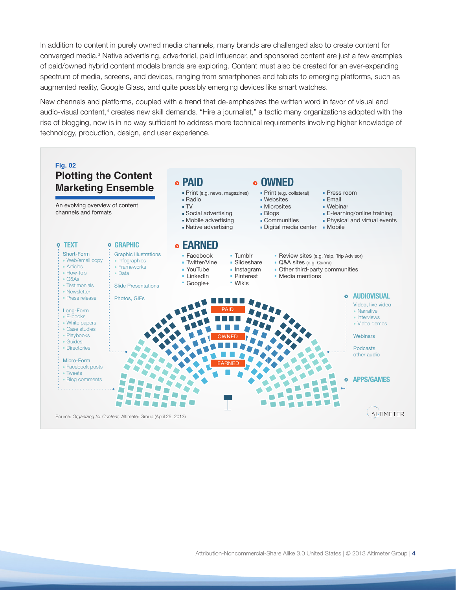In addition to content in purely owned media channels, many brands are challenged also to create content for converged media.<sup>3</sup> Native advertising, advertorial, paid influencer, and sponsored content are just a few examples of paid/owned hybrid content models brands are exploring. Content must also be created for an ever-expanding spectrum of media, screens, and devices, ranging from smartphones and tablets to emerging platforms, such as augmented reality, Google Glass, and quite possibly emerging devices like smart watches.

New channels and platforms, coupled with a trend that de-emphasizes the written word in favor of visual and audio-visual content,<sup>4</sup> creates new skill demands. "Hire a journalist," a tactic many organizations adopted with the rise of blogging, now is in no way sufficient to address more technical requirements involving higher knowledge of technology, production, design, and user experience.

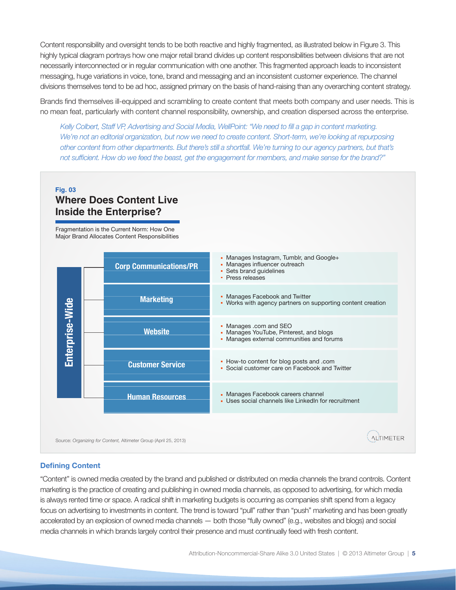Content responsibility and oversight tends to be both reactive and highly fragmented, as illustrated below in Figure 3. This highly typical diagram portrays how one major retail brand divides up content responsibilities between divisions that are not necessarily interconnected or in regular communication with one another. This fragmented approach leads to inconsistent messaging, huge variations in voice, tone, brand and messaging and an inconsistent customer experience. The channel divisions themselves tend to be ad hoc, assigned primary on the basis of hand-raising than any overarching content strategy.

Brands find themselves ill-equipped and scrambling to create content that meets both company and user needs. This is no mean feat, particularly with content channel responsibility, ownership, and creation dispersed across the enterprise.

*Kelly Colbert, Staff VP, Advertising and Social Media, WellPoint: "We need to fill a gap in content marketing.*  We're not an editorial organization, but now we need to create content. Short-term, we're looking at repurposing *other content from other departments. But there's still a shortfall. We're turning to our agency partners, but that's not sufficient. How do we feed the beast, get the engagement for members, and make sense for the brand?"*

### **Where Does Content Live Inside the Enterprise? Fig. 03**

Fragmentation is the Current Norm: How One Major Brand Allocates Content Responsibilities



#### **Defining Content**

"Content" is owned media created by the brand and published or distributed on media channels the brand controls. Content marketing is the practice of creating and publishing in owned media channels, as opposed to advertising, for which media is always rented time or space. A radical shift in marketing budgets is occurring as companies shift spend from a legacy focus on advertising to investments in content. The trend is toward "pull" rather than "push" marketing and has been greatly accelerated by an explosion of owned media channels — both those "fully owned" (e.g., websites and blogs) and social media channels in which brands largely control their presence and must continually feed with fresh content.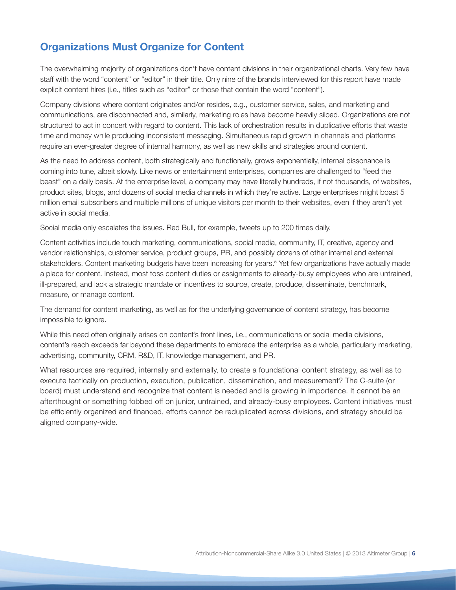# **Organizations Must Organize for Content**

The overwhelming majority of organizations don't have content divisions in their organizational charts. Very few have staff with the word "content" or "editor" in their title. Only nine of the brands interviewed for this report have made explicit content hires (i.e., titles such as "editor" or those that contain the word "content").

Company divisions where content originates and/or resides, e.g., customer service, sales, and marketing and communications, are disconnected and, similarly, marketing roles have become heavily siloed. Organizations are not structured to act in concert with regard to content. This lack of orchestration results in duplicative efforts that waste time and money while producing inconsistent messaging. Simultaneous rapid growth in channels and platforms require an ever-greater degree of internal harmony, as well as new skills and strategies around content.

As the need to address content, both strategically and functionally, grows exponentially, internal dissonance is coming into tune, albeit slowly. Like news or entertainment enterprises, companies are challenged to "feed the beast" on a daily basis. At the enterprise level, a company may have literally hundreds, if not thousands, of websites, product sites, blogs, and dozens of social media channels in which they're active. Large enterprises might boast 5 million email subscribers and multiple millions of unique visitors per month to their websites, even if they aren't yet active in social media.

Social media only escalates the issues. Red Bull, for example, tweets up to 200 times daily.

Content activities include touch marketing, communications, social media, community, IT, creative, agency and vendor relationships, customer service, product groups, PR, and possibly dozens of other internal and external stakeholders. Content marketing budgets have been increasing for years.<sup>5</sup> Yet few organizations have actually made a place for content. Instead, most toss content duties or assignments to already-busy employees who are untrained, ill-prepared, and lack a strategic mandate or incentives to source, create, produce, disseminate, benchmark, measure, or manage content.

The demand for content marketing, as well as for the underlying governance of content strategy, has become impossible to ignore.

While this need often originally arises on content's front lines, i.e., communications or social media divisions, content's reach exceeds far beyond these departments to embrace the enterprise as a whole, particularly marketing, advertising, community, CRM, R&D, IT, knowledge management, and PR.

What resources are required, internally and externally, to create a foundational content strategy, as well as to execute tactically on production, execution, publication, dissemination, and measurement? The C-suite (or board) must understand and recognize that content is needed and is growing in importance. It cannot be an afterthought or something fobbed off on junior, untrained, and already-busy employees. Content initiatives must be efficiently organized and financed, efforts cannot be reduplicated across divisions, and strategy should be aligned company-wide.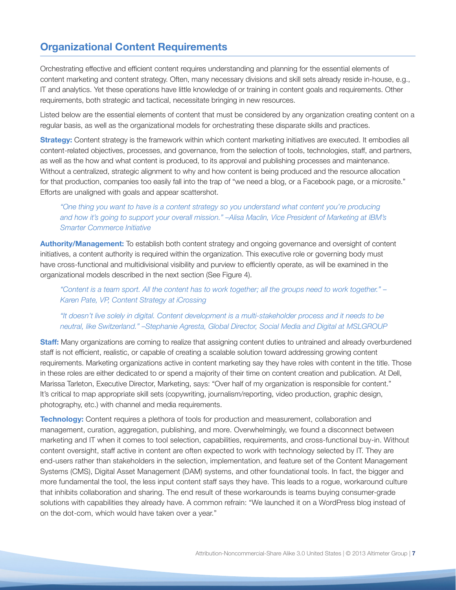# **Organizational Content Requirements**

Orchestrating effective and efficient content requires understanding and planning for the essential elements of content marketing and content strategy. Often, many necessary divisions and skill sets already reside in-house, e.g., IT and analytics. Yet these operations have little knowledge of or training in content goals and requirements. Other requirements, both strategic and tactical, necessitate bringing in new resources.

Listed below are the essential elements of content that must be considered by any organization creating content on a regular basis, as well as the organizational models for orchestrating these disparate skills and practices.

**Strategy:** Content strategy is the framework within which content marketing initiatives are executed. It embodies all content-related objectives, processes, and governance, from the selection of tools, technologies, staff, and partners, as well as the how and what content is produced, to its approval and publishing processes and maintenance. Without a centralized, strategic alignment to why and how content is being produced and the resource allocation for that production, companies too easily fall into the trap of "we need a blog, or a Facebook page, or a microsite." Efforts are unaligned with goals and appear scattershot.

#### *"One thing you want to have is a content strategy so you understand what content you're producing and how it's going to support your overall mission." –Alisa Maclin, Vice President of Marketing at IBM's Smarter Commerce Initiative*

**Authority/Management:** To establish both content strategy and ongoing governance and oversight of content initiatives, a content authority is required within the organization. This executive role or governing body must have cross-functional and multidivisional visibility and purview to efficiently operate, as will be examined in the organizational models described in the next section (See Figure 4).

*"Content is a team sport. All the content has to work together; all the groups need to work together." – Karen Pate, VP, Content Strategy at iCrossing*

#### *"It doesn't live solely in digital. Content development is a multi-stakeholder process and it needs to be neutral, like Switzerland." –Stephanie Agresta, Global Director, Social Media and Digital at MSLGROUP*

**Staff:** Many organizations are coming to realize that assigning content duties to untrained and already overburdened staff is not efficient, realistic, or capable of creating a scalable solution toward addressing growing content requirements. Marketing organizations active in content marketing say they have roles with content in the title. Those in these roles are either dedicated to or spend a majority of their time on content creation and publication. At Dell, Marissa Tarleton, Executive Director, Marketing, says: "Over half of my organization is responsible for content." It's critical to map appropriate skill sets (copywriting, journalism/reporting, video production, graphic design, photography, etc.) with channel and media requirements.

**Technology:** Content requires a plethora of tools for production and measurement, collaboration and management, curation, aggregation, publishing, and more. Overwhelmingly, we found a disconnect between marketing and IT when it comes to tool selection, capabilities, requirements, and cross-functional buy-in. Without content oversight, staff active in content are often expected to work with technology selected by IT. They are end-users rather than stakeholders in the selection, implementation, and feature set of the Content Management Systems (CMS), Digital Asset Management (DAM) systems, and other foundational tools. In fact, the bigger and more fundamental the tool, the less input content staff says they have. This leads to a rogue, workaround culture that inhibits collaboration and sharing. The end result of these workarounds is teams buying consumer-grade solutions with capabilities they already have. A common refrain: "We launched it on a WordPress blog instead of on the dot-com, which would have taken over a year."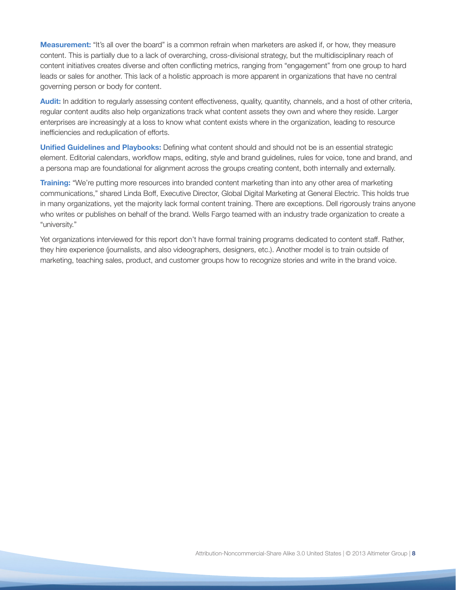**Measurement:** "It's all over the board" is a common refrain when marketers are asked if, or how, they measure content. This is partially due to a lack of overarching, cross-divisional strategy, but the multidisciplinary reach of content initiatives creates diverse and often conflicting metrics, ranging from "engagement" from one group to hard leads or sales for another. This lack of a holistic approach is more apparent in organizations that have no central governing person or body for content.

**Audit:** In addition to regularly assessing content effectiveness, quality, quantity, channels, and a host of other criteria, regular content audits also help organizations track what content assets they own and where they reside. Larger enterprises are increasingly at a loss to know what content exists where in the organization, leading to resource inefficiencies and reduplication of efforts.

**Unified Guidelines and Playbooks:** Defining what content should and should not be is an essential strategic element. Editorial calendars, workflow maps, editing, style and brand guidelines, rules for voice, tone and brand, and a persona map are foundational for alignment across the groups creating content, both internally and externally.

**Training:** "We're putting more resources into branded content marketing than into any other area of marketing communications," shared Linda Boff, Executive Director, Global Digital Marketing at General Electric. This holds true in many organizations, yet the majority lack formal content training. There are exceptions. Dell rigorously trains anyone who writes or publishes on behalf of the brand. Wells Fargo teamed with an industry trade organization to create a "university."

Yet organizations interviewed for this report don't have formal training programs dedicated to content staff. Rather, they hire experience (journalists, and also videographers, designers, etc.). Another model is to train outside of marketing, teaching sales, product, and customer groups how to recognize stories and write in the brand voice.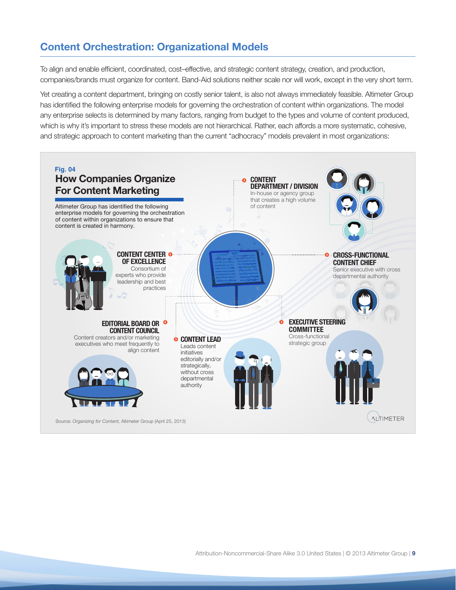# **Content Orchestration: Organizational Models**

To align and enable efficient, coordinated, cost–effective, and strategic content strategy, creation, and production, companies/brands must organize for content. Band-Aid solutions neither scale nor will work, except in the very short term.

Yet creating a content department, bringing on costly senior talent, is also not always immediately feasible. Altimeter Group has identified the following enterprise models for governing the orchestration of content within organizations. The model any enterprise selects is determined by many factors, ranging from budget to the types and volume of content produced, which is why it's important to stress these models are not hierarchical. Rather, each affords a more systematic, cohesive, and strategic approach to content marketing than the current "adhocracy" models prevalent in most organizations:

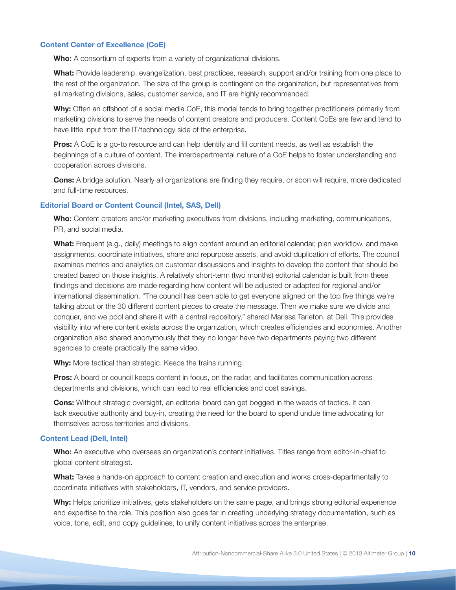#### **Content Center of Excellence (CoE)**

**Who:** A consortium of experts from a variety of organizational divisions.

**What:** Provide leadership, evangelization, best practices, research, support and/or training from one place to the rest of the organization. The size of the group is contingent on the organization, but representatives from all marketing divisions, sales, customer service, and IT are highly recommended.

**Why:** Often an offshoot of a social media CoE, this model tends to bring together practitioners primarily from marketing divisions to serve the needs of content creators and producers. Content CoEs are few and tend to have little input from the IT/technology side of the enterprise.

**Pros:** A CoE is a go-to resource and can help identify and fill content needs, as well as establish the beginnings of a culture of content. The interdepartmental nature of a CoE helps to foster understanding and cooperation across divisions.

**Cons:** A bridge solution. Nearly all organizations are finding they require, or soon will require, more dedicated and full-time resources.

#### **Editorial Board or Content Council (Intel, SAS, Dell)**

**Who:** Content creators and/or marketing executives from divisions, including marketing, communications, PR, and social media.

**What:** Frequent (e.g., daily) meetings to align content around an editorial calendar, plan workflow, and make assignments, coordinate initiatives, share and repurpose assets, and avoid duplication of efforts. The council examines metrics and analytics on customer discussions and insights to develop the content that should be created based on those insights. A relatively short-term (two months) editorial calendar is built from these findings and decisions are made regarding how content will be adjusted or adapted for regional and/or international dissemination. "The council has been able to get everyone aligned on the top five things we're talking about or the 30 different content pieces to create the message. Then we make sure we divide and conquer, and we pool and share it with a central repository," shared Marissa Tarleton, at Dell. This provides visibility into where content exists across the organization, which creates efficiencies and economies. Another organization also shared anonymously that they no longer have two departments paying two different agencies to create practically the same video.

**Why:** More tactical than strategic. Keeps the trains running.

**Pros:** A board or council keeps content in focus, on the radar, and facilitates communication across departments and divisions, which can lead to real efficiencies and cost savings.

**Cons:** Without strategic oversight, an editorial board can get bogged in the weeds of tactics. It can lack executive authority and buy-in, creating the need for the board to spend undue time advocating for themselves across territories and divisions.

#### **Content Lead (Dell, Intel)**

**Who:** An executive who oversees an organization's content initiatives. Titles range from editor-in-chief to global content strategist.

**What:** Takes a hands-on approach to content creation and execution and works cross-departmentally to coordinate initiatives with stakeholders, IT, vendors, and service providers.

**Why:** Helps prioritize initiatives, gets stakeholders on the same page, and brings strong editorial experience and expertise to the role. This position also goes far in creating underlying strategy documentation, such as voice, tone, edit, and copy guidelines, to unify content initiatives across the enterprise.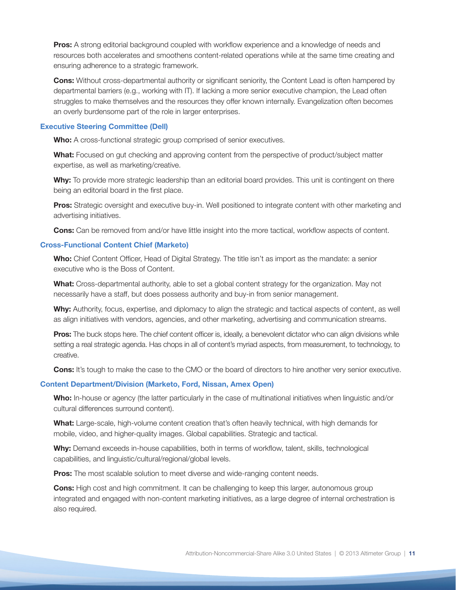**Pros:** A strong editorial background coupled with workflow experience and a knowledge of needs and resources both accelerates and smoothens content-related operations while at the same time creating and ensuring adherence to a strategic framework.

**Cons:** Without cross-departmental authority or significant seniority, the Content Lead is often hampered by departmental barriers (e.g., working with IT). If lacking a more senior executive champion, the Lead often struggles to make themselves and the resources they offer known internally. Evangelization often becomes an overly burdensome part of the role in larger enterprises.

#### **Executive Steering Committee (Dell)**

**Who:** A cross-functional strategic group comprised of senior executives.

**What:** Focused on gut checking and approving content from the perspective of product/subject matter expertise, as well as marketing/creative.

**Why:** To provide more strategic leadership than an editorial board provides. This unit is contingent on there being an editorial board in the first place.

**Pros:** Strategic oversight and executive buy-in. Well positioned to integrate content with other marketing and advertising initiatives.

**Cons:** Can be removed from and/or have little insight into the more tactical, workflow aspects of content.

#### **Cross-Functional Content Chief (Marketo)**

**Who:** Chief Content Officer, Head of Digital Strategy. The title isn't as import as the mandate: a senior executive who is the Boss of Content.

**What:** Cross-departmental authority, able to set a global content strategy for the organization. May not necessarily have a staff, but does possess authority and buy-in from senior management.

**Why:** Authority, focus, expertise, and diplomacy to align the strategic and tactical aspects of content, as well as align initiatives with vendors, agencies, and other marketing, advertising and communication streams.

**Pros:** The buck stops here. The chief content officer is, ideally, a benevolent dictator who can align divisions while setting a real strategic agenda. Has chops in all of content's myriad aspects, from measurement, to technology, to creative.

**Cons:** It's tough to make the case to the CMO or the board of directors to hire another very senior executive.

#### **Content Department/Division (Marketo, Ford, Nissan, Amex Open)**

**Who:** In-house or agency (the latter particularly in the case of multinational initiatives when linguistic and/or cultural differences surround content).

**What:** Large-scale, high-volume content creation that's often heavily technical, with high demands for mobile, video, and higher-quality images. Global capabilities. Strategic and tactical.

**Why:** Demand exceeds in-house capabilities, both in terms of workflow, talent, skills, technological capabilities, and linguistic/cultural/regional/global levels.

**Pros:** The most scalable solution to meet diverse and wide-ranging content needs.

**Cons:** High cost and high commitment. It can be challenging to keep this larger, autonomous group integrated and engaged with non-content marketing initiatives, as a large degree of internal orchestration is also required.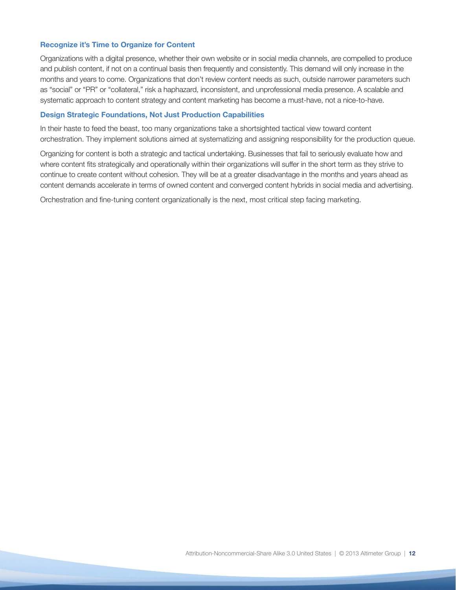#### **Recognize it's Time to Organize for Content**

Organizations with a digital presence, whether their own website or in social media channels, are compelled to produce and publish content, if not on a continual basis then frequently and consistently. This demand will only increase in the months and years to come. Organizations that don't review content needs as such, outside narrower parameters such as "social" or "PR" or "collateral," risk a haphazard, inconsistent, and unprofessional media presence. A scalable and systematic approach to content strategy and content marketing has become a must-have, not a nice-to-have.

#### **Design Strategic Foundations, Not Just Production Capabilities**

In their haste to feed the beast, too many organizations take a shortsighted tactical view toward content orchestration. They implement solutions aimed at systematizing and assigning responsibility for the production queue.

Organizing for content is both a strategic and tactical undertaking. Businesses that fail to seriously evaluate how and where content fits strategically and operationally within their organizations will suffer in the short term as they strive to continue to create content without cohesion. They will be at a greater disadvantage in the months and years ahead as content demands accelerate in terms of owned content and converged content hybrids in social media and advertising.

Orchestration and fine-tuning content organizationally is the next, most critical step facing marketing.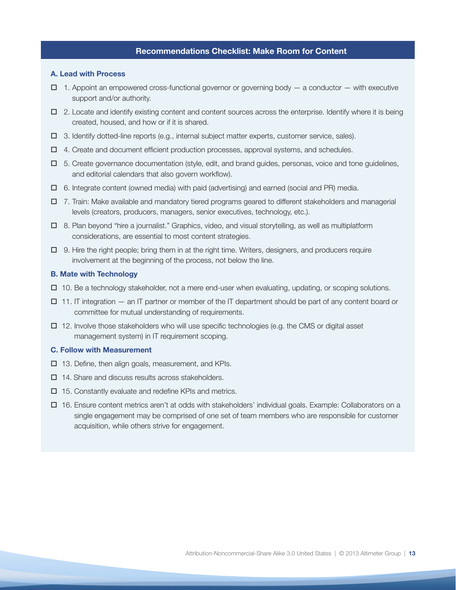#### **Recommendations Checklist: Make Room for Content**

#### **A. Lead with Process**

- $\Box$  1. Appoint an empowered cross-functional governor or governing body  $-$  a conductor  $-$  with executive support and/or authority.
- $\Box$  2. Locate and identify existing content and content sources across the enterprise. Identify where it is being created, housed, and how or if it is shared.
- $\Box$  3. Identify dotted-line reports (e.g., internal subject matter experts, customer service, sales).
- $\Box$  4. Create and document efficient production processes, approval systems, and schedules.
- $\Box$  5. Create governance documentation (style, edit, and brand guides, personas, voice and tone guidelines, and editorial calendars that also govern workflow).
- $\Box$  6. Integrate content (owned media) with paid (advertising) and earned (social and PR) media.
- $\Box$  7. Train: Make available and mandatory tiered programs geared to different stakeholders and managerial levels (creators, producers, managers, senior executives, technology, etc.).
- $\Box$  8. Plan beyond "hire a journalist." Graphics, video, and visual storytelling, as well as multiplatform considerations, are essential to most content strategies.
- $\Box$  9. Hire the right people; bring them in at the right time. Writers, designers, and producers require involvement at the beginning of the process, not below the line.

#### **B. Mate with Technology**

- $\Box$  10. Be a technology stakeholder, not a mere end-user when evaluating, updating, or scoping solutions.
- $\Box$  11. IT integration an IT partner or member of the IT department should be part of any content board or committee for mutual understanding of requirements.
- $\Box$  12. Involve those stakeholders who will use specific technologies (e.g. the CMS or digital asset management system) in IT requirement scoping.

#### **C. Follow with Measurement**

- $\square$  13. Define, then align goals, measurement, and KPIs.
- $\Box$  14. Share and discuss results across stakeholders.
- $\Box$  15. Constantly evaluate and redefine KPIs and metrics.
- $\Box$  16. Ensure content metrics aren't at odds with stakeholders' individual goals. Example: Collaborators on a single engagement may be comprised of one set of team members who are responsible for customer acquisition, while others strive for engagement.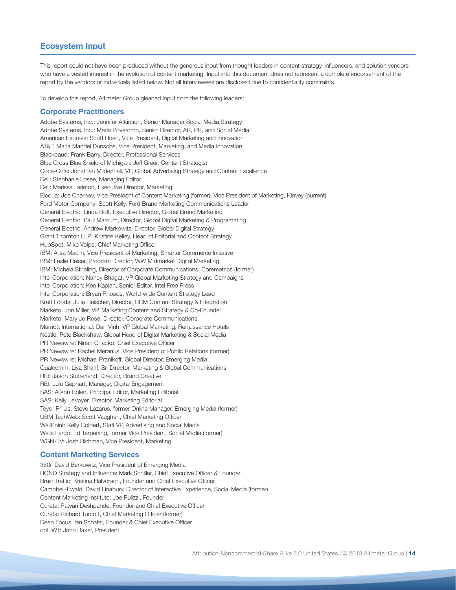#### **Ecosystem Input**

This report could not have been produced without the generous input from thought leaders in content strategy, influencers, and solution vendors who have a vested interest in the evolution of content marketing. Input into this document does not represent a complete endorsement of the report by the vendors or individuals listed below. Not all interviewees are disclosed due to confidentiality constraints.

To develop this report, Altimeter Group gleaned input from the following leaders:

#### **Corporate Practitioners**

Adobe Systems, Inc.: Jennifer Atkinson, Senior Manager Social Media Strategy Adobe Systems, Inc.: Maria Poveromo, Senior Director, AR, PR, and Social Media American Express: Scott Roen, Vice President, Digital Marketing and Innovation AT&T: Maria Mandel Dunsche, Vice President, Marketing, and Media Innovation Blackbaud: Frank Barry, Director, Professional Services Blue Cross Blue Shield of Michigan: Jeff Greer, Content Strategist Coca-Cola: Jonathan Mildenhall, VP, Global Advertising Strategy and Content Excellence Dell: Stephanie Losee, Managing Editor Dell: Marissa Tarleton, Executive Director, Marketing Eloqua: Joe Chernov, Vice President of Content Marketing (former); Vice President of Marketing, Kinvey (current) Ford Motor Company: Scott Kelly, Ford Brand Marketing Communications Leader General Electric: Linda Boff, Executive Director, Global Brand Marketing General Electric: Paul Marcum, Director, Global Digital Marketing & Programming General Electric: Andrew Markowitz, Director, Global Digital Strategy Grant Thornton LLP: Kristine Kelley, Head of Editorial and Content Strategy HubSpot: Mike Volpe, Chief Marketing Officer IBM: Alisa Maclin, Vice President of Marketing, Smarter Commerce Initiative IBM: Leslie Reiser, Program Director, WW Midmarket Digital Marketing IBM: Michela Stribling, Director of Corporate Communications, Coremetrics (former) Intel Corporation: Nancy Bhagat, VP Global Marketing Strategy and Campaigns Intel Corporation: Ken Kaplan, Senior Editor, Intel Free Press Intel Corporation: Bryan Rhoads, World-wide Content Strategy Lead Kraft Foods: Julie Fleischer, Director, CRM Content Strategy & Integration Marketo: Jon Miller, VP, Marketing Content and Strategy & Co-Founder Marketo: Mary Jo Rose, Director, Corporate Communications Marriott International: Dan Vinh, VP Global Marketing, Renaissance Hotels Nestlé: Pete Blackshaw, Global Head of Digital Marketing & Social Media PR Newswire: Ninan Chacko, Chief Executive Officer PR Newswire: Rachel Meranus, Vice President of Public Relations (former) PR Newswire: Michael Pranikoff, Global Director, Emerging Media Qualcomm: Liya Sharif, Sr. Director, Marketing & Global Communications REI: Jason Sutherland, Director, Brand Creative REI: Lulu Gephart, Manager, Digital Engagement SAS: Alison Bolen, Principal Editor, Marketing Editorial SAS: Kelly LeVoyer, Director, Marketing Editorial Toys "R" Us: Steve Lazarus, former Online Manager, Emerging Media (former) UBM TechWeb: Scott Vaughan, Chief Marketing Officer WellPoint: Kelly Colbert, Staff VP, Advertising and Social Media Wells Fargo: Ed Terpening, former Vice President, Social Media (former) WGN-TV: Josh Richman, Vice President, Marketing

#### **Content Marketing Services**

360i: David Berkowitz, Vice President of Emerging Media BOND Strategy and Influence: Mark Schiller, Chief Executive Officer & Founder Brain Traffic: Kristina Halvorson, Founder and Chief Executive Officer Campbell-Ewald: David Linabury, Director of Interactive Experience, Social Media (former) Content Marketing Institute: Joe Pulizzi, Founder Curata: Pawan Deshpande, Founder and Chief Executive Officer Curata: Richard Turcott, Chief Marketing Officer (former) Deep Focus: Ian Schafer, Founder & Chief Executive Officer dotJWT: John Baker, President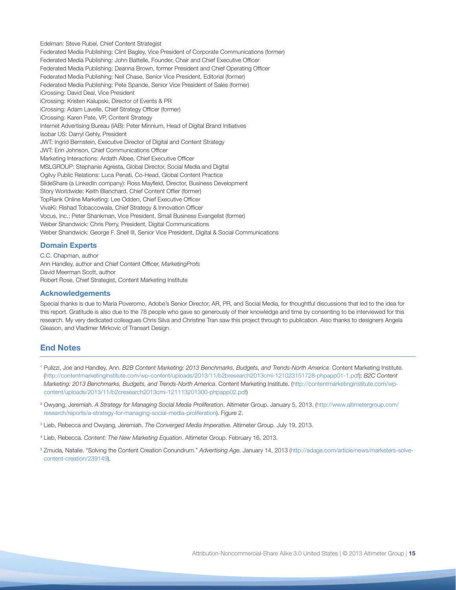Edelman: Steve Rubel, Chief Content Strategist Federated Media Publishing: Clint Bagley, Vice President of Corporate Communications (former) Federated Media Publishing: John Battelle, Founder, Chair and Chief Executive Officer Federated Media Publishing: Deanna Brown, former President and Chief Operating Officer Federated Media Publishing: Neil Chase, Senior Vice President, Editorial (former) Federated Media Publishing: Pete Spande, Senior Vice President of Sales (former) iCrossing: David Deal, Vice President iCrossing: Kristen Kalupski, Director of Events & PR iCrossing: Adam Lavelle, Chief Strategy Officer (former) iCrossing: Karen Pate, VP, Content Strategy Internet Advertising Bureau (IAB): Peter Minnium, Head of Digital Brand Initiatives Isobar US: Darryl Gehly, President JWT: Ingrid Bernstein, Executive Director of Digital and Content Strategy JWT: Erin Johnson, Chief Communications Officer Marketing Interactions: Ardath Albee, Chief Executive Officer MSLGROUP: Stephanie Agresta, Global Director, Social Media and Digital Ogilvy Public Relations: Luca Penati, Co-Head, Global Content Practice SlideShare (a LinkedIn company): Ross Mayfield, Director, Business Development Story Worldwide: Keith Blanchard, Chief Content Offier (former) TopRank Online Marketing: Lee Odden, Chief Executive Officer VivaKi: Rishad Tobaccowala, Chief Strategy & Innovation Officer Vocus, Inc.: Peter Shankman, Vice President, Small Business Evangelist (former) Weber Shandwick: Chris Perry, President, Digital Communications Weber Shandwick: George F. Snell III, Senior Vice President, Digital & Social Communications

#### **Domain Experts**

C.C. Chapman, author Ann Handley, author and Chief Content Officer, *MarketingProfs* David Meerman Scott, author Robert Rose, Chief Strategist, Content Marketing Institute

#### **Acknowledgements**

Special thanks is due to Maria Poveromo, Adobe's Senior Director, AR, PR, and Social Media, for thoughtful discussions that led to the idea for this report. Gratitude is also due to the 78 people who gave so generously of their knowledge and time by consenting to be interviewed for this research. My very dedicated colleagues Chris Silva and Christine Tran saw this project through to publication. Also thanks to designers Angela Gleason, and Vladimer Mirkovic of Transart Design.

#### **End Notes**

- <sup>1</sup> Pulizzi, Joe and Handley, Ann. *B2B Content Marketing: 2013 Benchmarks, Budgets, and Trends-North America*. Content Marketing Institute. ([http://contentmarketinginstitute.com/wp-content/uploads/2013/11/b2bresearch2013cmi-121023151728-phpapp01-1.pdf](http://contentmarketinginstitute.com/wp-content/uploads/2012/11/b2bresearch2013cmi-121023151728-phpapp01-1.pdf)); *B2C Content Marketing: 2013 Benchmarks, Budgets, and Trends-North America*. Content Marketing Institute. ([http://contentmarketinginstitute.com/wp](http://contentmarketinginstitute.com/wp-content/uploads/2012/11/b2cresearch2013cmi-121113201300-phpapp02.pdf)[content/uploads/2013/11/b2cresearch2013cmi-121113201300-phpapp02.pdf\)](http://contentmarketinginstitute.com/wp-content/uploads/2012/11/b2cresearch2013cmi-121113201300-phpapp02.pdf)
- <sup>2</sup> Owyang, Jeremiah. *A Strategy for Managing Social Media Proliferation*. Altimeter Group. January 5, 2013. [\(http://www.altimetergroup.com/](http://www.altimetergroup.com/research/reports/a-strategy-for-managing-social-media-proliferation) [research/reports/a-strategy-for-managing-social-media-proliferation](http://www.altimetergroup.com/research/reports/a-strategy-for-managing-social-media-proliferation)). Figure 2.
- <sup>3</sup> Lieb, Rebecca and Owyang, Jeremiah. *The Converged Media Imperative*. Altimeter Group. July 19, 2013.
- <sup>4</sup> Lieb, Rebecca. *Content: The New Marketing Equation*. Altimeter Group. February 16, 2013.
- <sup>5</sup> Zmuda, Natalie. "Solving the Content Creation Conundrum." *Advertising Age.* January 14, 2013 (http://adage.com/article/news/marketers-solvecontent-creation/239149).